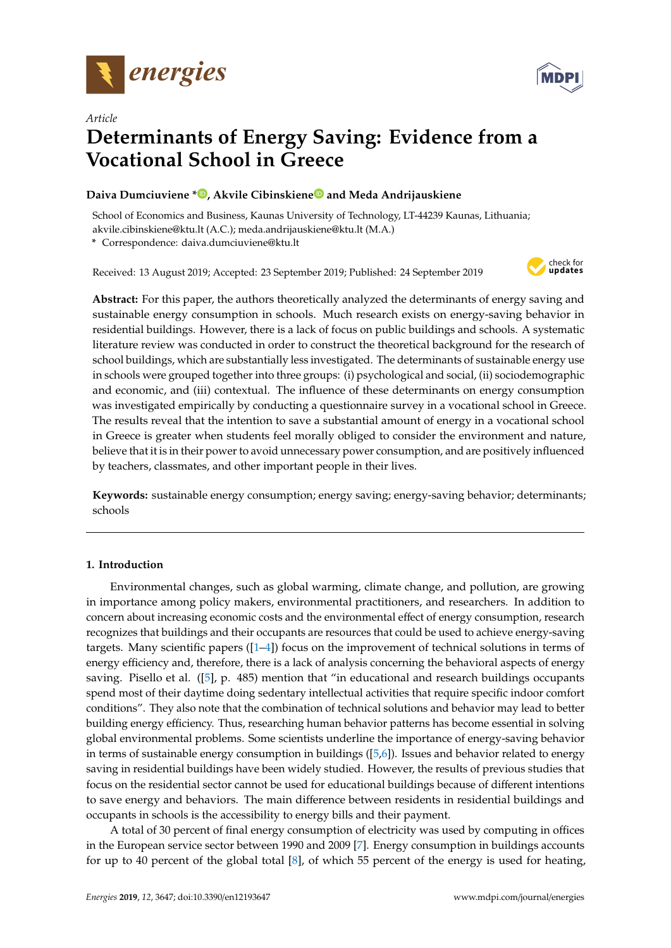

*Article*



# **Determinants of Energy Saving: Evidence from a Vocational School in Greece**

# **Daiva Dumciuviene [\\*](https://orcid.org/0000-0002-3500-3389) , Akvile Cibinskien[e](https://orcid.org/0000-0002-7637-1524) and Meda Andrijauskiene**

School of Economics and Business, Kaunas University of Technology, LT-44239 Kaunas, Lithuania; akvile.cibinskiene@ktu.lt (A.C.); meda.andrijauskiene@ktu.lt (M.A.)

**\*** Correspondence: daiva.dumciuviene@ktu.lt

Received: 13 August 2019; Accepted: 23 September 2019; Published: 24 September 2019



**Abstract:** For this paper, the authors theoretically analyzed the determinants of energy saving and sustainable energy consumption in schools. Much research exists on energy-saving behavior in residential buildings. However, there is a lack of focus on public buildings and schools. A systematic literature review was conducted in order to construct the theoretical background for the research of school buildings, which are substantially less investigated. The determinants of sustainable energy use in schools were grouped together into three groups: (i) psychological and social, (ii) sociodemographic and economic, and (iii) contextual. The influence of these determinants on energy consumption was investigated empirically by conducting a questionnaire survey in a vocational school in Greece. The results reveal that the intention to save a substantial amount of energy in a vocational school in Greece is greater when students feel morally obliged to consider the environment and nature, believe that it is in their power to avoid unnecessary power consumption, and are positively influenced by teachers, classmates, and other important people in their lives.

**Keywords:** sustainable energy consumption; energy saving; energy-saving behavior; determinants; schools

## **1. Introduction**

Environmental changes, such as global warming, climate change, and pollution, are growing in importance among policy makers, environmental practitioners, and researchers. In addition to concern about increasing economic costs and the environmental effect of energy consumption, research recognizes that buildings and their occupants are resources that could be used to achieve energy-saving targets. Many scientific papers  $(1-4)$  focus on the improvement of technical solutions in terms of energy efficiency and, therefore, there is a lack of analysis concerning the behavioral aspects of energy saving. Pisello et al. ([\[5\]](#page-13-2), p. 485) mention that "in educational and research buildings occupants spend most of their daytime doing sedentary intellectual activities that require specific indoor comfort conditions". They also note that the combination of technical solutions and behavior may lead to better building energy efficiency. Thus, researching human behavior patterns has become essential in solving global environmental problems. Some scientists underline the importance of energy-saving behavior in terms of sustainable energy consumption in buildings ([\[5](#page-13-2)[,6\]](#page-13-3)). Issues and behavior related to energy saving in residential buildings have been widely studied. However, the results of previous studies that focus on the residential sector cannot be used for educational buildings because of different intentions to save energy and behaviors. The main difference between residents in residential buildings and occupants in schools is the accessibility to energy bills and their payment.

A total of 30 percent of final energy consumption of electricity was used by computing in offices in the European service sector between 1990 and 2009 [\[7\]](#page-14-0). Energy consumption in buildings accounts for up to 40 percent of the global total [\[8\]](#page-14-1), of which 55 percent of the energy is used for heating,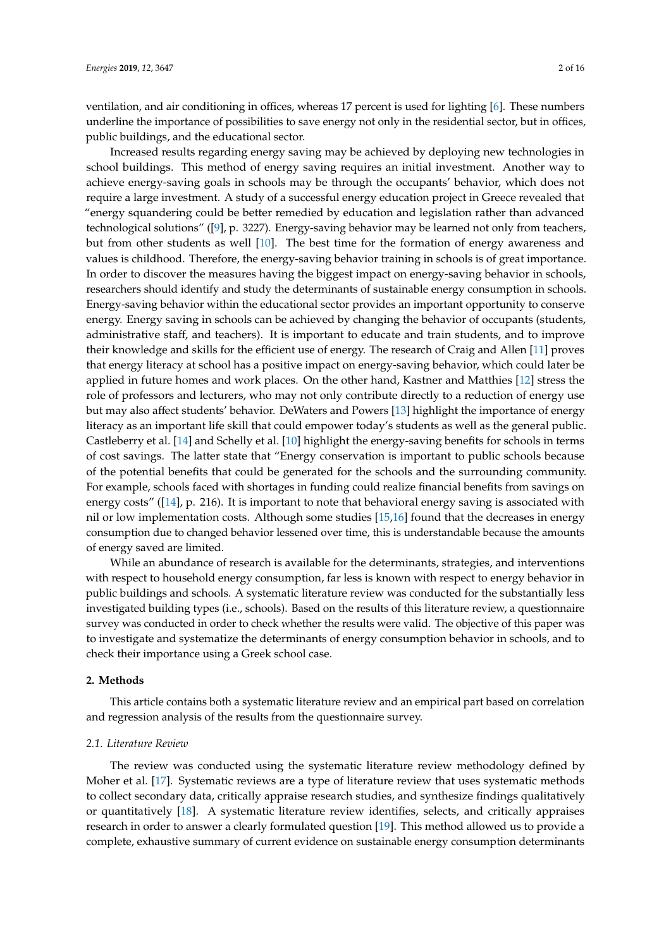ventilation, and air conditioning in offices, whereas 17 percent is used for lighting [\[6\]](#page-13-3). These numbers underline the importance of possibilities to save energy not only in the residential sector, but in offices, public buildings, and the educational sector.

Increased results regarding energy saving may be achieved by deploying new technologies in school buildings. This method of energy saving requires an initial investment. Another way to achieve energy-saving goals in schools may be through the occupants' behavior, which does not require a large investment. A study of a successful energy education project in Greece revealed that "energy squandering could be better remedied by education and legislation rather than advanced technological solutions" ([\[9\]](#page-14-2), p. 3227). Energy-saving behavior may be learned not only from teachers, but from other students as well [\[10\]](#page-14-3). The best time for the formation of energy awareness and values is childhood. Therefore, the energy-saving behavior training in schools is of great importance. In order to discover the measures having the biggest impact on energy-saving behavior in schools, researchers should identify and study the determinants of sustainable energy consumption in schools. Energy-saving behavior within the educational sector provides an important opportunity to conserve energy. Energy saving in schools can be achieved by changing the behavior of occupants (students, administrative staff, and teachers). It is important to educate and train students, and to improve their knowledge and skills for the efficient use of energy. The research of Craig and Allen [\[11\]](#page-14-4) proves that energy literacy at school has a positive impact on energy-saving behavior, which could later be applied in future homes and work places. On the other hand, Kastner and Matthies [\[12\]](#page-14-5) stress the role of professors and lecturers, who may not only contribute directly to a reduction of energy use but may also affect students' behavior. DeWaters and Powers [\[13\]](#page-14-6) highlight the importance of energy literacy as an important life skill that could empower today's students as well as the general public. Castleberry et al. [\[14\]](#page-14-7) and Schelly et al. [\[10\]](#page-14-3) highlight the energy-saving benefits for schools in terms of cost savings. The latter state that "Energy conservation is important to public schools because of the potential benefits that could be generated for the schools and the surrounding community. For example, schools faced with shortages in funding could realize financial benefits from savings on energy costs" ([\[14\]](#page-14-7), p. 216). It is important to note that behavioral energy saving is associated with nil or low implementation costs. Although some studies [\[15,](#page-14-8)[16\]](#page-14-9) found that the decreases in energy consumption due to changed behavior lessened over time, this is understandable because the amounts of energy saved are limited.

While an abundance of research is available for the determinants, strategies, and interventions with respect to household energy consumption, far less is known with respect to energy behavior in public buildings and schools. A systematic literature review was conducted for the substantially less investigated building types (i.e., schools). Based on the results of this literature review, a questionnaire survey was conducted in order to check whether the results were valid. The objective of this paper was to investigate and systematize the determinants of energy consumption behavior in schools, and to check their importance using a Greek school case.

#### **2. Methods**

This article contains both a systematic literature review and an empirical part based on correlation and regression analysis of the results from the questionnaire survey.

#### *2.1. Literature Review*

The review was conducted using the systematic literature review methodology defined by Moher et al. [\[17\]](#page-14-10). Systematic reviews are a type of literature review that uses systematic methods to collect secondary data, critically appraise research studies, and synthesize findings qualitatively or quantitatively [\[18\]](#page-14-11). A systematic literature review identifies, selects, and critically appraises research in order to answer a clearly formulated question [\[19\]](#page-14-12). This method allowed us to provide a complete, exhaustive summary of current evidence on sustainable energy consumption determinants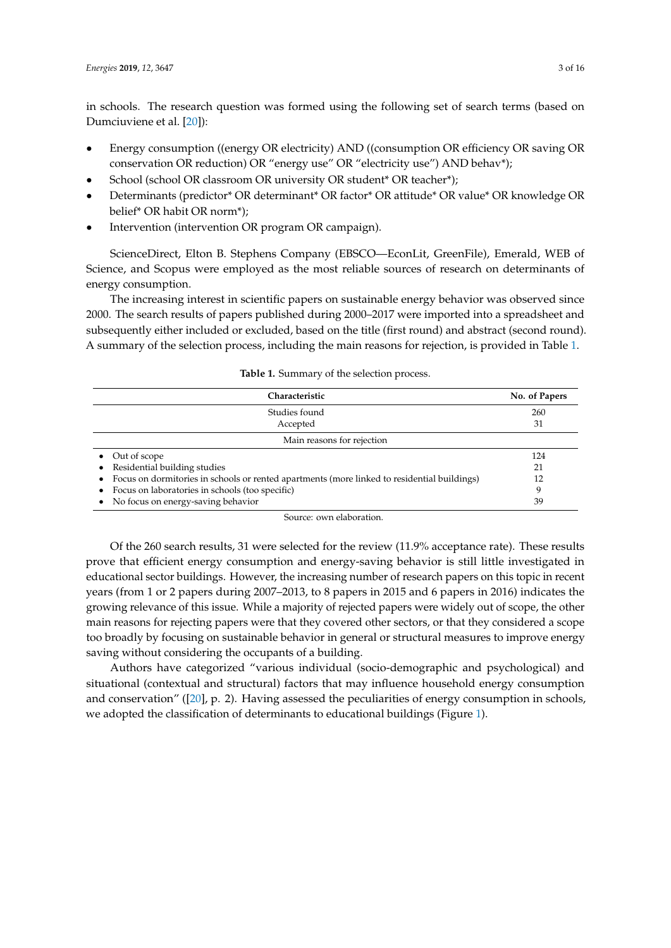in schools. The research question was formed using the following set of search terms (based on Dumciuviene et al. [\[20\]](#page-14-13)):

- Energy consumption ((energy OR electricity) AND ((consumption OR efficiency OR saving OR conservation OR reduction) OR "energy use" OR "electricity use") AND behav\*);
- School (school OR classroom OR university OR student\* OR teacher\*);
- Determinants (predictor\* OR determinant\* OR factor\* OR attitude\* OR value\* OR knowledge OR belief\* OR habit OR norm\*);
- Intervention (intervention OR program OR campaign).

ScienceDirect, Elton B. Stephens Company (EBSCO—EconLit, GreenFile), Emerald, WEB of Science, and Scopus were employed as the most reliable sources of research on determinants of energy consumption.

The increasing interest in scientific papers on sustainable energy behavior was observed since 2000. The search results of papers published during 2000–2017 were imported into a spreadsheet and subsequently either included or excluded, based on the title (first round) and abstract (second round). A summary of the selection process, including the main reasons for rejection, is provided in Table [1.](#page-2-0)

<span id="page-2-0"></span>

| Characteristic                                                                                | No. of Papers |
|-----------------------------------------------------------------------------------------------|---------------|
| Studies found                                                                                 | 260           |
| Accepted                                                                                      | 31            |
| Main reasons for rejection                                                                    |               |
| $\bullet$ Out of scope                                                                        | 124           |
| • Residential building studies                                                                | 21            |
| • Focus on dormitories in schools or rented apartments (more linked to residential buildings) | 12            |
| • Focus on laboratories in schools (too specific)                                             | 9             |
| No focus on energy-saving behavior<br>$\bullet$                                               | 39            |

| <b>Table 1.</b> Summary of the selection process. |  |
|---------------------------------------------------|--|
|---------------------------------------------------|--|

Source: own elaboration.

Of the 260 search results, 31 were selected for the review (11.9% acceptance rate). These results prove that efficient energy consumption and energy-saving behavior is still little investigated in educational sector buildings. However, the increasing number of research papers on this topic in recent years (from 1 or 2 papers during 2007–2013, to 8 papers in 2015 and 6 papers in 2016) indicates the growing relevance of this issue. While a majority of rejected papers were widely out of scope, the other main reasons for rejecting papers were that they covered other sectors, or that they considered a scope too broadly by focusing on sustainable behavior in general or structural measures to improve energy saving without considering the occupants of a building.

Authors have categorized "various individual (socio-demographic and psychological) and situational (contextual and structural) factors that may influence household energy consumption and conservation" ([\[20\]](#page-14-13), p. 2). Having assessed the peculiarities of energy consumption in schools, we adopted the classification of determinants to educational buildings (Figure [1\)](#page-3-0).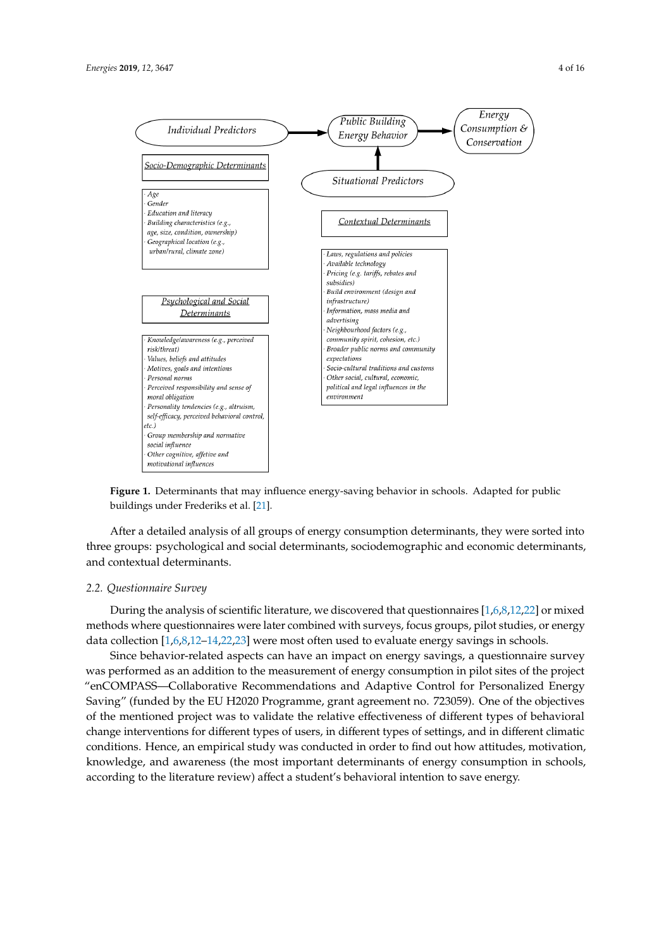<span id="page-3-0"></span>

122 **Figure 1. <b>Particle** 1. **Public 1. Figure 1. Figure 1. Figure 1.** Adapted for public schools. Adapted for public schools. Adapted for public schools. Adapted for public schools. Adapted for public schools. Adap **Figure 1.** Determinants that may influence energy-saving behavior in schools. Adapted for public buildings under Frederiks et al. [\[21\]](#page-14-14).

After a detailed analysis of all groups of energy consumption determinants, they were sorted into and contextual determinants. three groups: psychological and social determinants, sociodemographic and economic determinants,

# 2.2. Questionnaire Survey

127 *2.2. Questionnaire Survey*  methods where questionnaires were later combined with surveys, focus groups, pilot studies, or energy data collection [1,6,8,12-14,22,23] wer[e](#page-13-0) most often used to ev[a](#page-14-1)luate energy savings in schools. During the analysis of scientific literature, we discovered that questionnaires [\[1](#page-13-0)[,6,](#page-13-3)[8,](#page-14-1)[12,](#page-14-5)[22\]](#page-14-15) or mixed

Since behavior-related aspects can have an impact on energy savings, a questionnaire survey was performed as an addition to the measurement of energy consumption in pilot sites of the project "enCOMPASS-Collaborative Recommendations and Adaptive Control for Personalized Energy Saving" (funded by the EU H2020 Programme, grant agreement no. 723059). One of the objectives of the mentioned project was to validate the relative effectiveness of different types of behavioral change interventions for different types of users, in different types of settings, and in different climatic conditions. Hence, an empirical study was conducted in order to find out how attitudes, motivation, knowledge, and awareness (the most important determinants of energy consumption in schools, according to the literature review) affect a student's behavioral intention to save energy.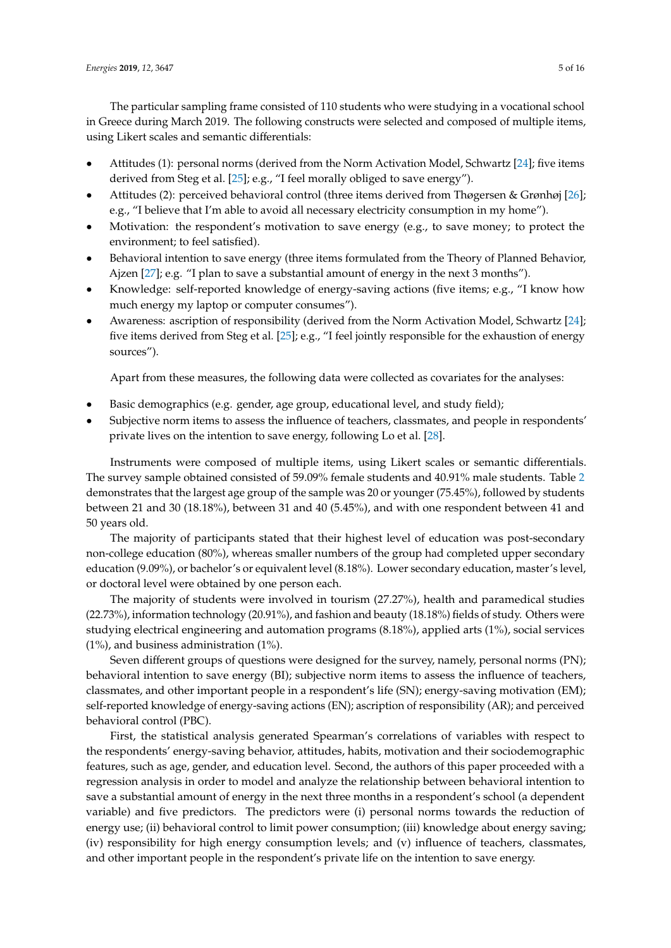The particular sampling frame consisted of 110 students who were studying in a vocational school in Greece during March 2019. The following constructs were selected and composed of multiple items, using Likert scales and semantic differentials:

- Attitudes (1): personal norms (derived from the Norm Activation Model, Schwartz [\[24\]](#page-14-17); five items derived from Steg et al. [\[25\]](#page-14-18); e.g., "I feel morally obliged to save energy").
- Attitudes (2): perceived behavioral control (three items derived from Thøgersen & Grønhøj [\[26\]](#page-14-19); e.g., "I believe that I'm able to avoid all necessary electricity consumption in my home").
- Motivation: the respondent's motivation to save energy (e.g., to save money; to protect the environment; to feel satisfied).
- Behavioral intention to save energy (three items formulated from the Theory of Planned Behavior, Ajzen [\[27\]](#page-14-20); e.g. "I plan to save a substantial amount of energy in the next 3 months").
- Knowledge: self-reported knowledge of energy-saving actions (five items; e.g., "I know how much energy my laptop or computer consumes").
- Awareness: ascription of responsibility (derived from the Norm Activation Model, Schwartz [\[24\]](#page-14-17); five items derived from Steg et al. [\[25\]](#page-14-18); e.g., "I feel jointly responsible for the exhaustion of energy sources").

Apart from these measures, the following data were collected as covariates for the analyses:

- Basic demographics (e.g. gender, age group, educational level, and study field);
- Subjective norm items to assess the influence of teachers, classmates, and people in respondents' private lives on the intention to save energy, following Lo et al. [\[28\]](#page-14-21).

Instruments were composed of multiple items, using Likert scales or semantic differentials. The survey sample obtained consisted of 59.09% female students and 40.91% male students. Table [2](#page-5-0) demonstrates that the largest age group of the sample was 20 or younger (75.45%), followed by students between 21 and 30 (18.18%), between 31 and 40 (5.45%), and with one respondent between 41 and 50 years old.

The majority of participants stated that their highest level of education was post-secondary non-college education (80%), whereas smaller numbers of the group had completed upper secondary education (9.09%), or bachelor's or equivalent level (8.18%). Lower secondary education, master's level, or doctoral level were obtained by one person each.

The majority of students were involved in tourism (27.27%), health and paramedical studies (22.73%), information technology (20.91%), and fashion and beauty (18.18%) fields of study. Others were studying electrical engineering and automation programs (8.18%), applied arts (1%), social services (1%), and business administration (1%).

Seven different groups of questions were designed for the survey, namely, personal norms (PN); behavioral intention to save energy (BI); subjective norm items to assess the influence of teachers, classmates, and other important people in a respondent's life (SN); energy-saving motivation (EM); self-reported knowledge of energy-saving actions (EN); ascription of responsibility (AR); and perceived behavioral control (PBC).

First, the statistical analysis generated Spearman's correlations of variables with respect to the respondents' energy-saving behavior, attitudes, habits, motivation and their sociodemographic features, such as age, gender, and education level. Second, the authors of this paper proceeded with a regression analysis in order to model and analyze the relationship between behavioral intention to save a substantial amount of energy in the next three months in a respondent's school (a dependent variable) and five predictors. The predictors were (i) personal norms towards the reduction of energy use; (ii) behavioral control to limit power consumption; (iii) knowledge about energy saving; (iv) responsibility for high energy consumption levels; and (v) influence of teachers, classmates, and other important people in the respondent's private life on the intention to save energy.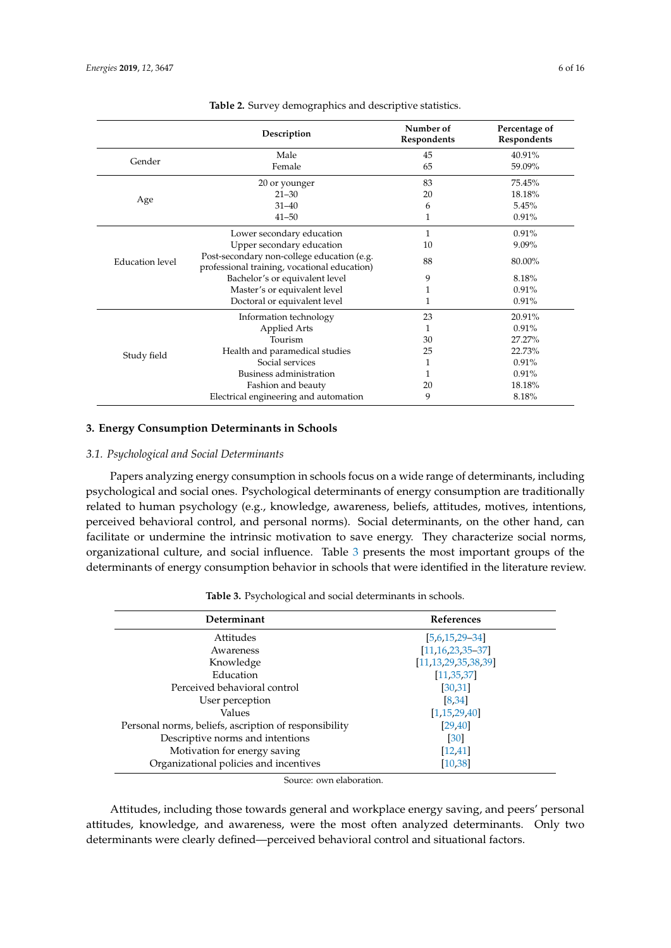<span id="page-5-0"></span>

|                        | Description                                                                                | Number of<br>Respondents | Percentage of<br>Respondents |
|------------------------|--------------------------------------------------------------------------------------------|--------------------------|------------------------------|
|                        | Male                                                                                       | 45                       | 40.91%                       |
| Gender                 | Female                                                                                     | 65                       | 59.09%                       |
|                        | 20 or younger                                                                              | 83                       | 75.45%                       |
|                        | $21 - 30$                                                                                  | 20                       | 18.18%                       |
| Age                    | $31 - 40$                                                                                  | 6                        | 5.45%                        |
|                        | $41 - 50$                                                                                  | 1                        | 0.91%                        |
|                        | Lower secondary education                                                                  | $\mathbf{1}$             | 0.91%                        |
|                        | Upper secondary education                                                                  | 10                       | 9.09%                        |
| <b>Education</b> level | Post-secondary non-college education (e.g.<br>professional training, vocational education) | 88                       | 80.00%                       |
|                        | Bachelor's or equivalent level                                                             | 9                        | 8.18%                        |
|                        | Master's or equivalent level                                                               | 1                        | 0.91%                        |
|                        | Doctoral or equivalent level                                                               | 1                        | 0.91%                        |
|                        | Information technology                                                                     | 23                       | 20.91%                       |
|                        | Applied Arts                                                                               | 1                        | 0.91%                        |
|                        | Tourism                                                                                    | 30                       | 27.27%                       |
| Study field            | Health and paramedical studies                                                             | 25                       | 22.73%                       |
|                        | Social services                                                                            | 1                        | 0.91%                        |
|                        | Business administration                                                                    | 1                        | 0.91%                        |
|                        | Fashion and beauty                                                                         | 20                       | 18.18%                       |
|                        | Electrical engineering and automation                                                      | 9                        | 8.18%                        |

**Table 2.** Survey demographics and descriptive statistics.

#### **3. Energy Consumption Determinants in Schools**

#### *3.1. Psychological and Social Determinants*

Papers analyzing energy consumption in schools focus on a wide range of determinants, including psychological and social ones. Psychological determinants of energy consumption are traditionally related to human psychology (e.g., knowledge, awareness, beliefs, attitudes, motives, intentions, perceived behavioral control, and personal norms). Social determinants, on the other hand, can facilitate or undermine the intrinsic motivation to save energy. They characterize social norms, organizational culture, and social influence. Table [3](#page-5-1) presents the most important groups of the determinants of energy consumption behavior in schools that were identified in the literature review.

<span id="page-5-1"></span>

| Determinant                                           | References               |
|-------------------------------------------------------|--------------------------|
| Attitudes                                             | $[5,6,15,29-34]$         |
| Awareness                                             | $[11, 16, 23, 35 - 37]$  |
| Knowledge                                             | [11, 13, 29, 35, 38, 39] |
| Education                                             | [11, 35, 37]             |
| Perceived behavioral control                          | [30, 31]                 |
| User perception                                       | [8, 34]                  |
| Values                                                | [1, 15, 29, 40]          |
| Personal norms, beliefs, ascription of responsibility | [29, 40]                 |
| Descriptive norms and intentions                      | [30]                     |
| Motivation for energy saving                          | [12, 41]                 |
| Organizational policies and incentives                | [10, 38]                 |

**Table 3.** Psychological and social determinants in schools.

Source: own elaboration.

Attitudes, including those towards general and workplace energy saving, and peers' personal attitudes, knowledge, and awareness, were the most often analyzed determinants. Only two determinants were clearly defined—perceived behavioral control and situational factors.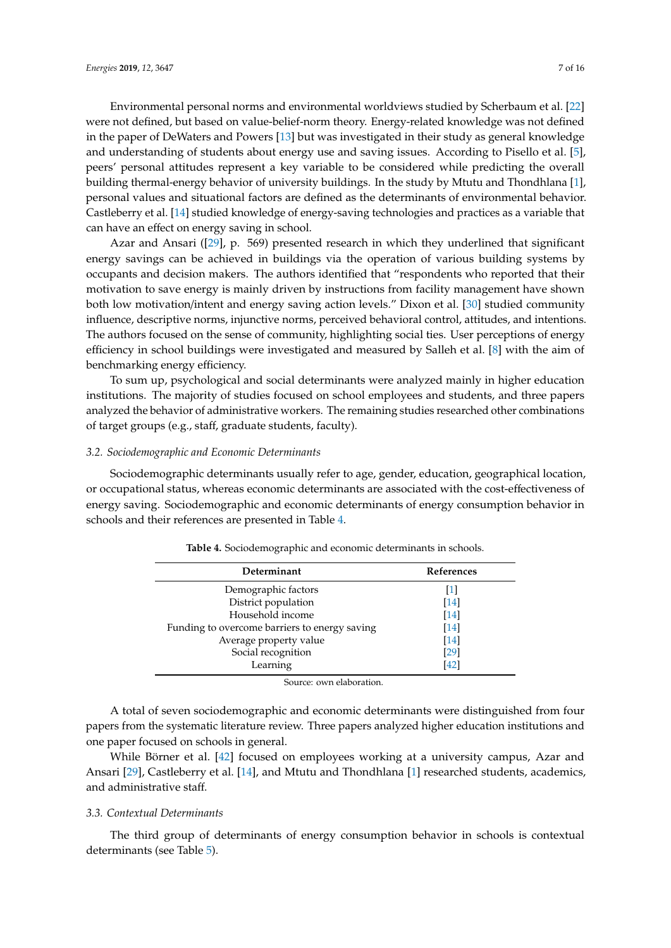Environmental personal norms and environmental worldviews studied by Scherbaum et al. [\[22\]](#page-14-15) were not defined, but based on value-belief-norm theory. Energy-related knowledge was not defined in the paper of DeWaters and Powers [\[13\]](#page-14-6) but was investigated in their study as general knowledge and understanding of students about energy use and saving issues. According to Pisello et al. [\[5\]](#page-13-2), peers' personal attitudes represent a key variable to be considered while predicting the overall building thermal-energy behavior of university buildings. In the study by Mtutu and Thondhlana [\[1\]](#page-13-0), personal values and situational factors are defined as the determinants of environmental behavior. Castleberry et al. [\[14\]](#page-14-7) studied knowledge of energy-saving technologies and practices as a variable that can have an effect on energy saving in school.

Azar and Ansari ([\[29\]](#page-14-22), p. 569) presented research in which they underlined that significant energy savings can be achieved in buildings via the operation of various building systems by occupants and decision makers. The authors identified that "respondents who reported that their motivation to save energy is mainly driven by instructions from facility management have shown both low motivation/intent and energy saving action levels." Dixon et al. [\[30\]](#page-14-23) studied community influence, descriptive norms, injunctive norms, perceived behavioral control, attitudes, and intentions. The authors focused on the sense of community, highlighting social ties. User perceptions of energy efficiency in school buildings were investigated and measured by Salleh et al. [\[8\]](#page-14-1) with the aim of benchmarking energy efficiency.

To sum up, psychological and social determinants were analyzed mainly in higher education institutions. The majority of studies focused on school employees and students, and three papers analyzed the behavior of administrative workers. The remaining studies researched other combinations of target groups (e.g., staff, graduate students, faculty).

#### *3.2. Sociodemographic and Economic Determinants*

<span id="page-6-0"></span>Sociodemographic determinants usually refer to age, gender, education, geographical location, or occupational status, whereas economic determinants are associated with the cost-effectiveness of energy saving. Sociodemographic and economic determinants of energy consumption behavior in schools and their references are presented in Table [4.](#page-6-0)

| Determinant                                   | <b>References</b> |
|-----------------------------------------------|-------------------|
| Demographic factors                           | $\lceil 1 \rceil$ |
| District population                           | [14]              |
| Household income                              | [14]              |
| Funding to overcome barriers to energy saving | [14]              |
| Average property value                        | $[14]$            |
| Social recognition                            | [29]              |
| Learning                                      | [42]              |

**Table 4.** Sociodemographic and economic determinants in schools.

Source: own elaboration.

A total of seven sociodemographic and economic determinants were distinguished from four papers from the systematic literature review. Three papers analyzed higher education institutions and one paper focused on schools in general.

While Börner et al. [\[42\]](#page-15-8) focused on employees working at a university campus, Azar and Ansari [\[29\]](#page-14-22), Castleberry et al. [\[14\]](#page-14-7), and Mtutu and Thondhlana [\[1\]](#page-13-0) researched students, academics, and administrative staff.

#### *3.3. Contextual Determinants*

The third group of determinants of energy consumption behavior in schools is contextual determinants (see Table [5\)](#page-7-0).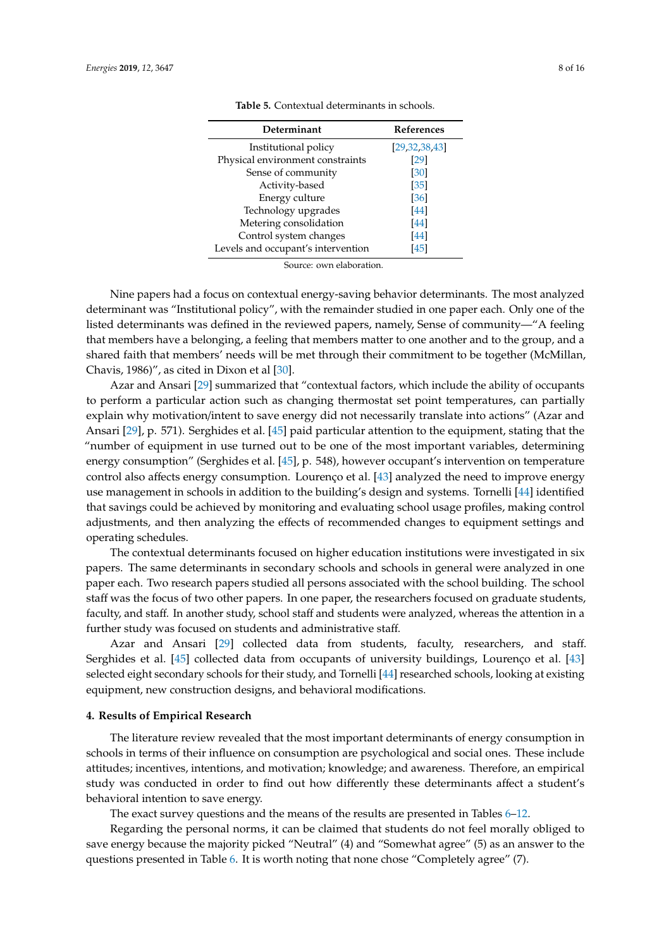<span id="page-7-0"></span>

| Determinant                        | <b>References</b> |
|------------------------------------|-------------------|
| Institutional policy               | [29, 32, 38, 43]  |
| Physical environment constraints   | [29]              |
| Sense of community                 | [30]              |
| Activity-based                     | $[35]$            |
| Energy culture                     | [36]              |
| Technology upgrades                | [44]              |
| Metering consolidation             | [44]              |
| Control system changes             | [44]              |
| Levels and occupant's intervention | [45]              |
|                                    |                   |

**Table 5.** Contextual determinants in schools.

Source: own elaboration.

Nine papers had a focus on contextual energy-saving behavior determinants. The most analyzed determinant was "Institutional policy", with the remainder studied in one paper each. Only one of the listed determinants was defined in the reviewed papers, namely, Sense of community—"A feeling that members have a belonging, a feeling that members matter to one another and to the group, and a shared faith that members' needs will be met through their commitment to be together (McMillan, Chavis, 1986)", as cited in Dixon et al [\[30\]](#page-14-23).

Azar and Ansari [\[29\]](#page-14-22) summarized that "contextual factors, which include the ability of occupants to perform a particular action such as changing thermostat set point temperatures, can partially explain why motivation/intent to save energy did not necessarily translate into actions" (Azar and Ansari [\[29\]](#page-14-22), p. 571). Serghides et al. [\[45\]](#page-15-13) paid particular attention to the equipment, stating that the "number of equipment in use turned out to be one of the most important variables, determining energy consumption" (Serghides et al. [\[45\]](#page-15-13), p. 548), however occupant's intervention on temperature control also affects energy consumption. Lourenço et al. [\[43\]](#page-15-10) analyzed the need to improve energy use management in schools in addition to the building's design and systems. Tornelli [\[44\]](#page-15-12) identified that savings could be achieved by monitoring and evaluating school usage profiles, making control adjustments, and then analyzing the effects of recommended changes to equipment settings and operating schedules.

The contextual determinants focused on higher education institutions were investigated in six papers. The same determinants in secondary schools and schools in general were analyzed in one paper each. Two research papers studied all persons associated with the school building. The school staff was the focus of two other papers. In one paper, the researchers focused on graduate students, faculty, and staff. In another study, school staff and students were analyzed, whereas the attention in a further study was focused on students and administrative staff.

Azar and Ansari [\[29\]](#page-14-22) collected data from students, faculty, researchers, and staff. Serghides et al. [\[45\]](#page-15-13) collected data from occupants of university buildings, Lourenço et al. [\[43\]](#page-15-10) selected eight secondary schools for their study, and Tornelli [\[44\]](#page-15-12) researched schools, looking at existing equipment, new construction designs, and behavioral modifications.

#### **4. Results of Empirical Research**

The literature review revealed that the most important determinants of energy consumption in schools in terms of their influence on consumption are psychological and social ones. These include attitudes; incentives, intentions, and motivation; knowledge; and awareness. Therefore, an empirical study was conducted in order to find out how differently these determinants affect a student's behavioral intention to save energy.

The exact survey questions and the means of the results are presented in Tables [6](#page-8-0)[–12.](#page-10-0)

Regarding the personal norms, it can be claimed that students do not feel morally obliged to save energy because the majority picked "Neutral" (4) and "Somewhat agree" (5) as an answer to the questions presented in Table [6.](#page-8-0) It is worth noting that none chose "Completely agree" (7).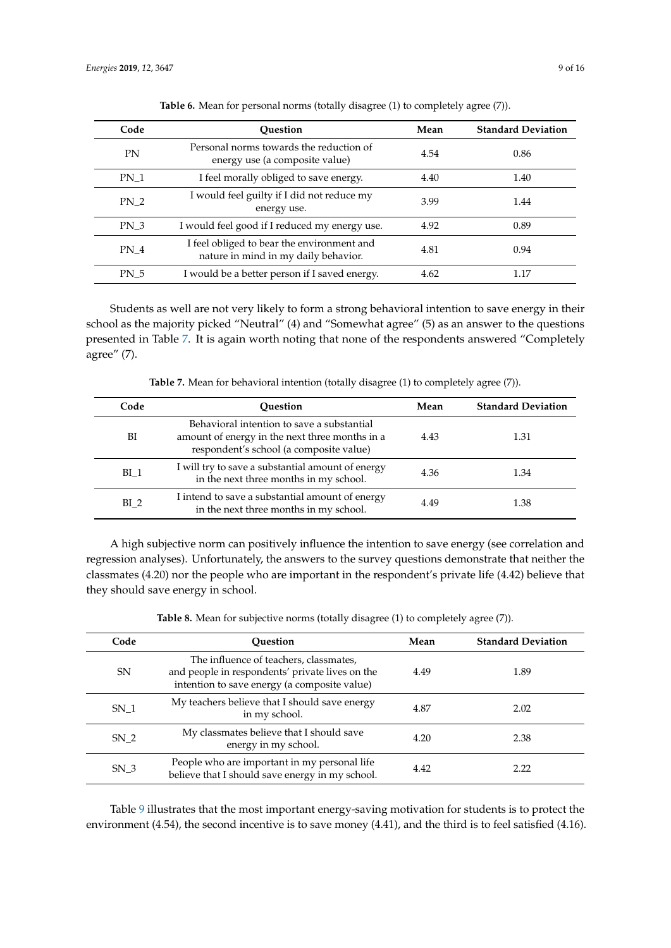<span id="page-8-0"></span>

| Code            | Ouestion                                                                           | Mean | <b>Standard Deviation</b> |
|-----------------|------------------------------------------------------------------------------------|------|---------------------------|
| <b>PN</b>       | Personal norms towards the reduction of<br>energy use (a composite value)          | 4.54 | 0.86                      |
| PN <sub>1</sub> | I feel morally obliged to save energy.                                             | 4.40 | 1.40                      |
| PN <sub>2</sub> | I would feel guilty if I did not reduce my<br>energy use.                          | 3.99 | 1.44                      |
| PN <sub>3</sub> | I would feel good if I reduced my energy use.                                      | 4.92 | 0.89                      |
| PN <sub>4</sub> | I feel obliged to bear the environment and<br>nature in mind in my daily behavior. | 4.81 | 0.94                      |
| PN <sub>5</sub> | I would be a better person if I saved energy.                                      | 4.62 | 1.17                      |

**Table 6.** Mean for personal norms (totally disagree (1) to completely agree (7)).

Students as well are not very likely to form a strong behavioral intention to save energy in their school as the majority picked "Neutral" (4) and "Somewhat agree" (5) as an answer to the questions presented in Table [7.](#page-8-1) It is again worth noting that none of the respondents answered "Completely agree" (7).

Table 7. Mean for behavioral intention (totally disagree (1) to completely agree (7)).

<span id="page-8-1"></span>

| Code            | <b>Ouestion</b>                                                                                                                         | Mean | <b>Standard Deviation</b> |
|-----------------|-----------------------------------------------------------------------------------------------------------------------------------------|------|---------------------------|
| BI              | Behavioral intention to save a substantial<br>amount of energy in the next three months in a<br>respondent's school (a composite value) | 4.43 | 1.31                      |
| BI <sub>1</sub> | I will try to save a substantial amount of energy<br>in the next three months in my school.                                             | 4.36 | 1.34                      |
| BI <sub>2</sub> | I intend to save a substantial amount of energy<br>in the next three months in my school.                                               | 4.49 | 1.38                      |

A high subjective norm can positively influence the intention to save energy (see correlation and regression analyses). Unfortunately, the answers to the survey questions demonstrate that neither the classmates (4.20) nor the people who are important in the respondent's private life (4.42) believe that they should save energy in school.

**Table 8.** Mean for subjective norms (totally disagree (1) to completely agree (7)).

| Code            | Ouestion                                                                                                                                  | Mean | <b>Standard Deviation</b> |
|-----------------|-------------------------------------------------------------------------------------------------------------------------------------------|------|---------------------------|
| <b>SN</b>       | The influence of teachers, classmates,<br>and people in respondents' private lives on the<br>intention to save energy (a composite value) | 4.49 | 1.89                      |
| SN <sub>1</sub> | My teachers believe that I should save energy<br>in my school.                                                                            | 4.87 | 2.02                      |
| SN <sub>2</sub> | My classmates believe that I should save<br>energy in my school.                                                                          | 4.20 | 2.38                      |
| SN <sub>3</sub> | People who are important in my personal life<br>believe that I should save energy in my school.                                           | 4.42 | 2.22                      |

Table [9](#page-9-0) illustrates that the most important energy-saving motivation for students is to protect the environment (4.54), the second incentive is to save money (4.41), and the third is to feel satisfied (4.16).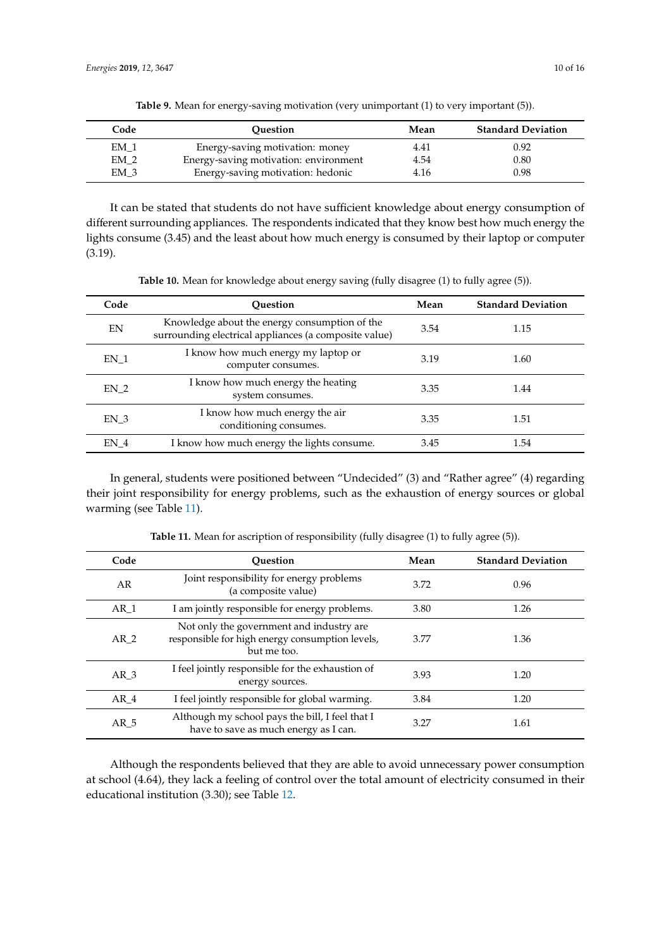<span id="page-9-0"></span>

| Code            | <b>Ouestion</b>                       | Mean | <b>Standard Deviation</b> |
|-----------------|---------------------------------------|------|---------------------------|
| EM <sub>1</sub> | Energy-saving motivation: money       | 4.41 | 0.92                      |
| EM <sub>2</sub> | Energy-saving motivation: environment | 4.54 | 0.80                      |
| EM <sub>3</sub> | Energy-saving motivation: hedonic     | 4.16 | 0.98                      |

Table 9. Mean for energy-saving motivation (very unimportant (1) to very important (5)).

It can be stated that students do not have sufficient knowledge about energy consumption of different surrounding appliances. The respondents indicated that they know best how much energy the lights consume (3.45) and the least about how much energy is consumed by their laptop or computer (3.19).

| Code            | <b>Ouestion</b>                                                                                        | Mean | <b>Standard Deviation</b> |
|-----------------|--------------------------------------------------------------------------------------------------------|------|---------------------------|
| EN              | Knowledge about the energy consumption of the<br>surrounding electrical appliances (a composite value) | 3.54 | 1.15                      |
| EN <sub>1</sub> | I know how much energy my laptop or<br>computer consumes.                                              | 3.19 | 1.60                      |
| EN <sub>2</sub> | I know how much energy the heating<br>system consumes.                                                 | 3.35 | 1.44                      |
| EN <sub>3</sub> | I know how much energy the air<br>conditioning consumes.                                               | 3.35 | 1.51                      |
| EN <sub>4</sub> | I know how much energy the lights consume.                                                             | 3.45 | 1.54                      |

Table 10. Mean for knowledge about energy saving (fully disagree (1) to fully agree (5)).

In general, students were positioned between "Undecided" (3) and "Rather agree" (4) regarding their joint responsibility for energy problems, such as the exhaustion of energy sources or global warming (see Table [11\)](#page-9-1).

<span id="page-9-1"></span>

| Code            | Ouestion                                                                                                   | Mean | <b>Standard Deviation</b> |
|-----------------|------------------------------------------------------------------------------------------------------------|------|---------------------------|
| AR              | Joint responsibility for energy problems<br>(a composite value)                                            | 3.72 | 0.96                      |
| AR 1            | I am jointly responsible for energy problems.                                                              | 3.80 | 1.26                      |
| AR <sub>2</sub> | Not only the government and industry are<br>responsible for high energy consumption levels,<br>but me too. | 3.77 | 1.36                      |
| AR <sub>3</sub> | I feel jointly responsible for the exhaustion of<br>energy sources.                                        | 3.93 | 1.20                      |
| AR 4            | I feel jointly responsible for global warming.                                                             | 3.84 | 1.20                      |
| AR 5            | Although my school pays the bill, I feel that I<br>have to save as much energy as I can.                   | 3.27 | 1.61                      |

Table 11. Mean for ascription of responsibility (fully disagree (1) to fully agree (5)).

Although the respondents believed that they are able to avoid unnecessary power consumption at school (4.64), they lack a feeling of control over the total amount of electricity consumed in their educational institution (3.30); see Table [12.](#page-10-0)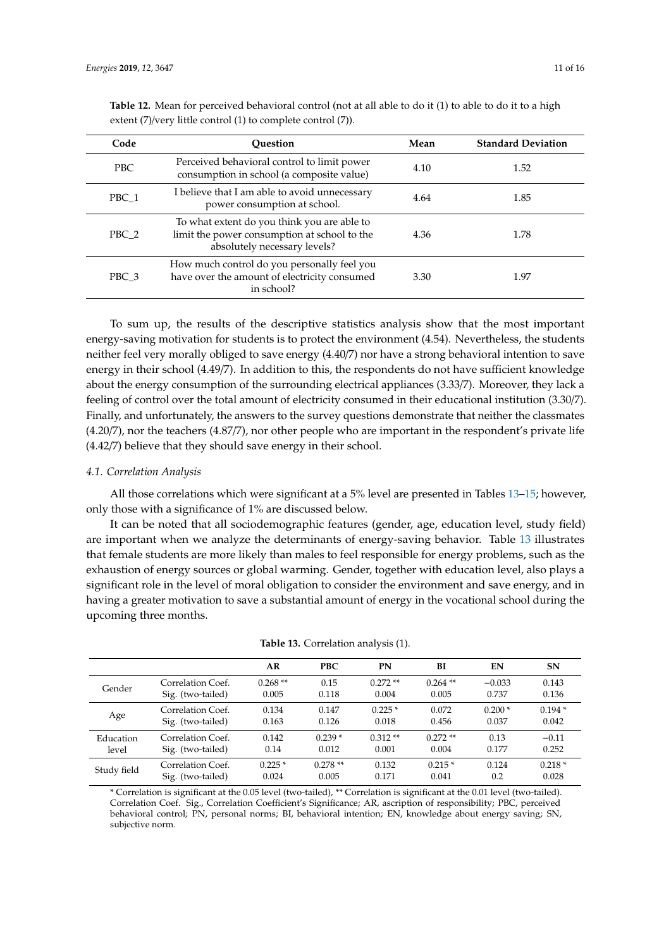| Code  | <b>Ouestion</b>                                                                                                             | Mean | <b>Standard Deviation</b> |
|-------|-----------------------------------------------------------------------------------------------------------------------------|------|---------------------------|
| PBC.  | Perceived behavioral control to limit power<br>consumption in school (a composite value)                                    | 4.10 | 1.52                      |
| PBC 1 | I believe that I am able to avoid unnecessary<br>power consumption at school.                                               | 4.64 | 1.85                      |
| PBC 2 | To what extent do you think you are able to<br>limit the power consumption at school to the<br>absolutely necessary levels? | 4.36 | 1.78                      |
| PBC 3 | How much control do you personally feel you<br>have over the amount of electricity consumed<br>in school?                   | 3.30 | 1.97                      |

<span id="page-10-0"></span>**Table 12.** Mean for perceived behavioral control (not at all able to do it (1) to able to do it to a high extent (7)/very little control (1) to complete control (7)).

To sum up, the results of the descriptive statistics analysis show that the most important energy-saving motivation for students is to protect the environment (4.54). Nevertheless, the students neither feel very morally obliged to save energy (4.40/7) nor have a strong behavioral intention to save energy in their school (4.49/7). In addition to this, the respondents do not have sufficient knowledge about the energy consumption of the surrounding electrical appliances (3.33/7). Moreover, they lack a feeling of control over the total amount of electricity consumed in their educational institution (3.30/7). Finally, and unfortunately, the answers to the survey questions demonstrate that neither the classmates (4.20/7), nor the teachers (4.87/7), nor other people who are important in the respondent's private life (4.42/7) believe that they should save energy in their school.

#### *4.1. Correlation Analysis*

All those correlations which were significant at a 5% level are presented in Tables [13–](#page-10-1)[15;](#page-11-0) however, only those with a significance of 1% are discussed below.

It can be noted that all sociodemographic features (gender, age, education level, study field) are important when we analyze the determinants of energy-saving behavior. Table [13](#page-10-1) illustrates that female students are more likely than males to feel responsible for energy problems, such as the exhaustion of energy sources or global warming. Gender, together with education level, also plays a significant role in the level of moral obligation to consider the environment and save energy, and in having a greater motivation to save a substantial amount of energy in the vocational school during the upcoming three months.

<span id="page-10-1"></span>

|             |                   | AR        | <b>PBC</b> | PN        | BI         | EN       | <b>SN</b> |
|-------------|-------------------|-----------|------------|-----------|------------|----------|-----------|
| Gender      | Correlation Coef. | $0.268**$ | 0.15       | $0.272**$ | $0.264$ ** | $-0.033$ | 0.143     |
|             | Sig. (two-tailed) | 0.005     | 0.118      | 0.004     | 0.005      | 0.737    | 0.136     |
| Age         | Correlation Coef. | 0.134     | 0.147      | $0.225*$  | 0.072      | $0.200*$ | $0.194*$  |
|             | Sig. (two-tailed) | 0.163     | 0.126      | 0.018     | 0.456      | 0.037    | 0.042     |
| Education   | Correlation Coef. | 0.142     | $0.239*$   | $0.312**$ | $0.272**$  | 0.13     | $-0.11$   |
| level       | Sig. (two-tailed) | 0.14      | 0.012      | 0.001     | 0.004      | 0.177    | 0.252     |
| Study field | Correlation Coef. | $0.225*$  | $0.278**$  | 0.132     | $0.215*$   | 0.124    | $0.218*$  |
|             | Sig. (two-tailed) | 0.024     | 0.005      | 0.171     | 0.041      | 0.2      | 0.028     |

\* Correlation is significant at the 0.05 level (two-tailed), \*\* Correlation is significant at the 0.01 level (two-tailed). Correlation Coef. Sig., Correlation Coefficient's Significance; AR, ascription of responsibility; PBC, perceived behavioral control; PN, personal norms; BI, behavioral intention; EN, knowledge about energy saving; SN, subjective norm.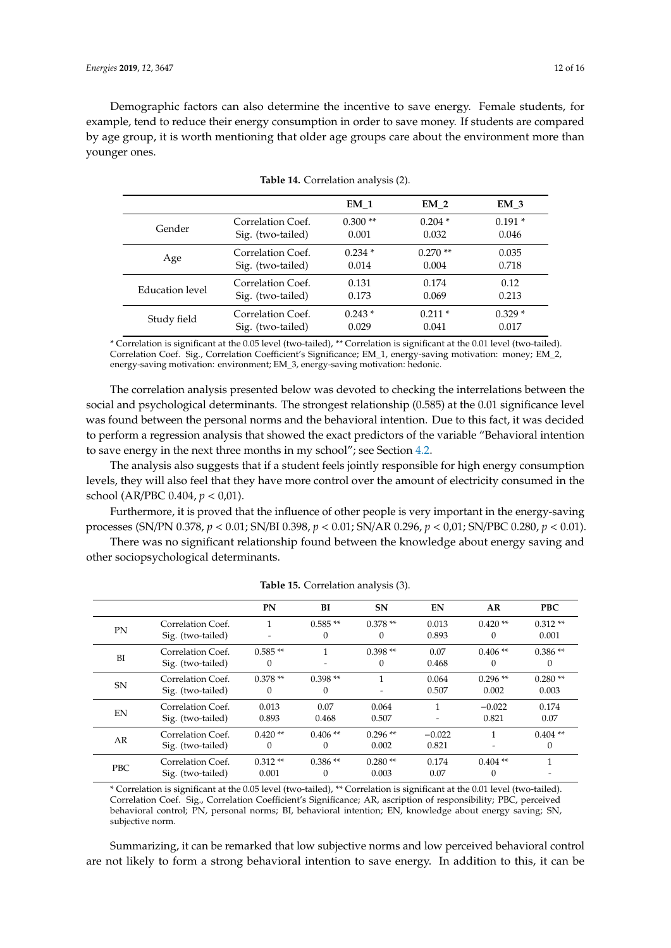Demographic factors can also determine the incentive to save energy. Female students, for example, tend to reduce their energy consumption in order to save money. If students are compared by age group, it is worth mentioning that older age groups care about the environment more than younger ones.

|                 |                   | EM <sub>1</sub> | EM <sub>2</sub> | EM <sub>3</sub> |
|-----------------|-------------------|-----------------|-----------------|-----------------|
| Gender          | Correlation Coef. | $0.300**$       | $0.204*$        | $0.191*$        |
|                 | Sig. (two-tailed) | 0.001           | 0.032           | 0.046           |
| Age             | Correlation Coef. | $0.234*$        | $0.270**$       | 0.035           |
|                 | Sig. (two-tailed) | 0.014           | 0.004           | 0.718           |
| Education level | Correlation Coef. | 0.131           | 0.174           | 0.12            |
|                 | Sig. (two-tailed) | 0.173           | 0.069           | 0.213           |
| Study field     | Correlation Coef. | $0.243*$        | $0.211*$        | $0.329*$        |
|                 | Sig. (two-tailed) | 0.029           | 0.041           | 0.017           |

|  | Table 14. Correlation analysis (2). |  |  |
|--|-------------------------------------|--|--|
|--|-------------------------------------|--|--|

\* Correlation is significant at the 0.05 level (two-tailed), \*\* Correlation is significant at the 0.01 level (two-tailed). Correlation Coef. Sig., Correlation Coefficient's Significance; EM\_1, energy-saving motivation: money; EM\_2, energy-saving motivation: environment; EM\_3, energy-saving motivation: hedonic.

The correlation analysis presented below was devoted to checking the interrelations between the social and psychological determinants. The strongest relationship (0.585) at the 0.01 significance level was found between the personal norms and the behavioral intention. Due to this fact, it was decided to perform a regression analysis that showed the exact predictors of the variable "Behavioral intention to save energy in the next three months in my school"; see Section [4.2.](#page-12-0)

The analysis also suggests that if a student feels jointly responsible for high energy consumption levels, they will also feel that they have more control over the amount of electricity consumed in the school (AR/PBC 0.404, *p* < 0,01).

Furthermore, it is proved that the influence of other people is very important in the energy-saving processes (SN/PN 0.378, *p* < 0.01; SN/BI 0.398, *p* < 0.01; SN/AR 0.296, *p* < 0,01; SN/PBC 0.280, *p* < 0.01).

There was no significant relationship found between the knowledge about energy saving and other sociopsychological determinants.

<span id="page-11-0"></span>

|           |                                        | <b>PN</b>             | BI                    | <b>SN</b>                     | EN                | AR                        | <b>PBC</b>             |
|-----------|----------------------------------------|-----------------------|-----------------------|-------------------------------|-------------------|---------------------------|------------------------|
| PN        | Correlation Coef.<br>Sig. (two-tailed) |                       | $0.585**$<br>$\theta$ | $0.378**$<br>$\theta$         | 0.013<br>0.893    | $0.420**$<br>$\mathbf{0}$ | $0.312**$<br>0.001     |
| <b>BI</b> | Correlation Coef.<br>Sig. (two-tailed) | $0.585**$<br>0        |                       | $0.398**$<br>$\theta$         | 0.07<br>0.468     | $0.406**$<br>$\mathbf{0}$ | $0.386**$<br>$\theta$  |
| <b>SN</b> | Correlation Coef.<br>Sig. (two-tailed) | $0.378**$<br>0        | $0.398**$<br>$\Omega$ | 1<br>$\overline{\phantom{a}}$ | 0.064<br>0.507    | $0.296**$<br>0.002        | $0.280**$<br>0.003     |
| EN        | Correlation Coef.<br>Sig. (two-tailed) | 0.013<br>0.893        | 0.07<br>0.468         | 0.064<br>0.507                |                   | $-0.022$<br>0.821         | 0.174<br>0.07          |
| AR        | Correlation Coef.<br>Sig. (two-tailed) | $0.420**$<br>$\Omega$ | $0.406**$<br>$\Omega$ | $0.296**$<br>0.002            | $-0.022$<br>0.821 |                           | $0.404$ **<br>$\theta$ |
| PBC       | Correlation Coef.<br>Sig. (two-tailed) | $0.312**$<br>0.001    | $0.386**$<br>$\Omega$ | $0.280**$<br>0.003            | 0.174<br>0.07     | $0.404$ **<br>$\Omega$    | 1                      |

**Table 15.** Correlation analysis (3).

\* Correlation is significant at the 0.05 level (two-tailed), \*\* Correlation is significant at the 0.01 level (two-tailed). Correlation Coef. Sig., Correlation Coefficient's Significance; AR, ascription of responsibility; PBC, perceived behavioral control; PN, personal norms; BI, behavioral intention; EN, knowledge about energy saving; SN, subjective norm.

Summarizing, it can be remarked that low subjective norms and low perceived behavioral control are not likely to form a strong behavioral intention to save energy. In addition to this, it can be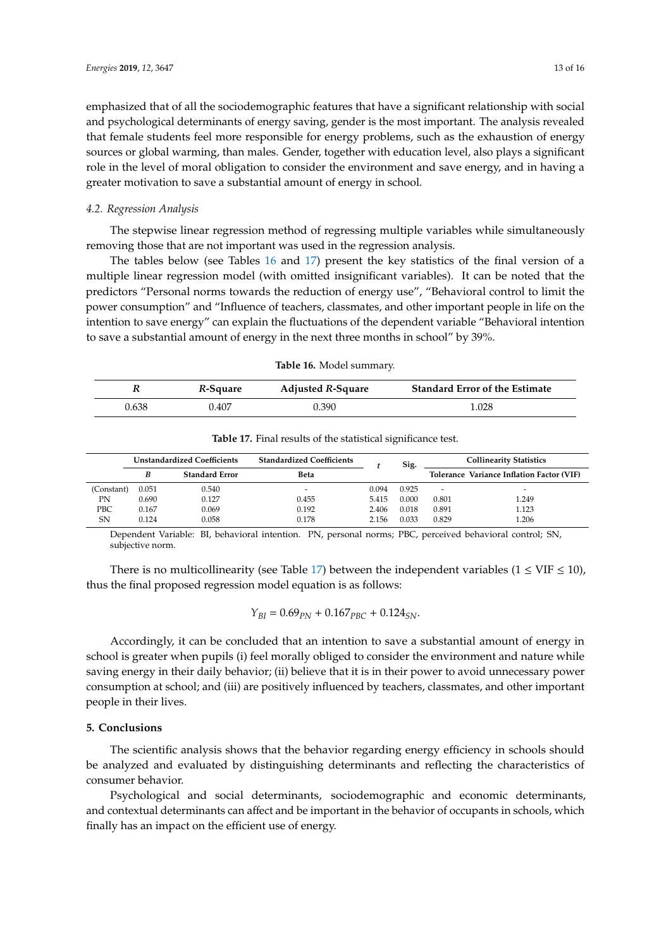emphasized that of all the sociodemographic features that have a significant relationship with social and psychological determinants of energy saving, gender is the most important. The analysis revealed that female students feel more responsible for energy problems, such as the exhaustion of energy sources or global warming, than males. Gender, together with education level, also plays a significant role in the level of moral obligation to consider the environment and save energy, and in having a greater motivation to save a substantial amount of energy in school.

#### <span id="page-12-0"></span>*4.2. Regression Analysis*

The stepwise linear regression method of regressing multiple variables while simultaneously removing those that are not important was used in the regression analysis.

The tables below (see Tables [16](#page-12-1) and [17\)](#page-12-2) present the key statistics of the final version of a multiple linear regression model (with omitted insignificant variables). It can be noted that the predictors "Personal norms towards the reduction of energy use", "Behavioral control to limit the power consumption" and "Influence of teachers, classmates, and other important people in life on the intention to save energy" can explain the fluctuations of the dependent variable "Behavioral intention to save a substantial amount of energy in the next three months in school" by 39%.

<span id="page-12-1"></span>

| R     | R-Square | <b>Adjusted R-Square</b> | <b>Standard Error of the Estimate</b> |
|-------|----------|--------------------------|---------------------------------------|
| 0.638 | 0.407    | 0.390                    | 1.028                                 |

**Table 16.** Model summary.

<span id="page-12-2"></span>

|            | <b>Unstandardized Coefficients</b> |                       | <b>Standardized Coefficients</b> |       | Sig.  | <b>Collinearity Statistics</b> |                                           |
|------------|------------------------------------|-----------------------|----------------------------------|-------|-------|--------------------------------|-------------------------------------------|
|            |                                    | <b>Standard Error</b> | <b>Beta</b>                      |       |       |                                | Tolerance Variance Inflation Factor (VIF) |
| (Constant) | 0.051                              | 0.540                 | $\overline{\phantom{0}}$         | 0.094 | 0.925 | -                              | -                                         |
| PN         | 0.690                              | 0.127                 | 0.455                            | 5.415 | 0.000 | 0.801                          | 1.249                                     |
| <b>PBC</b> | 0.167                              | 0.069                 | 0.192                            | 2.406 | 0.018 | 0.891                          | 1.123                                     |
| SN         | 0.124                              | 0.058                 | 0.178                            | 2.156 | 0.033 | 0.829                          | .206                                      |

**Table 17.** Final results of the statistical significance test.

Dependent Variable: BI, behavioral intention. PN, personal norms; PBC, perceived behavioral control; SN, subjective norm.

There is no multicollinearity (see Table [17\)](#page-12-2) between the independent variables ( $1 \leq VIF \leq 10$ ), thus the final proposed regression model equation is as follows:

$$
Y_{BI} = 0.69_{PN} + 0.167_{PBC} + 0.124_{SN}.
$$

Accordingly, it can be concluded that an intention to save a substantial amount of energy in school is greater when pupils (i) feel morally obliged to consider the environment and nature while saving energy in their daily behavior; (ii) believe that it is in their power to avoid unnecessary power consumption at school; and (iii) are positively influenced by teachers, classmates, and other important people in their lives.

#### **5. Conclusions**

The scientific analysis shows that the behavior regarding energy efficiency in schools should be analyzed and evaluated by distinguishing determinants and reflecting the characteristics of consumer behavior.

Psychological and social determinants, sociodemographic and economic determinants, and contextual determinants can affect and be important in the behavior of occupants in schools, which finally has an impact on the efficient use of energy.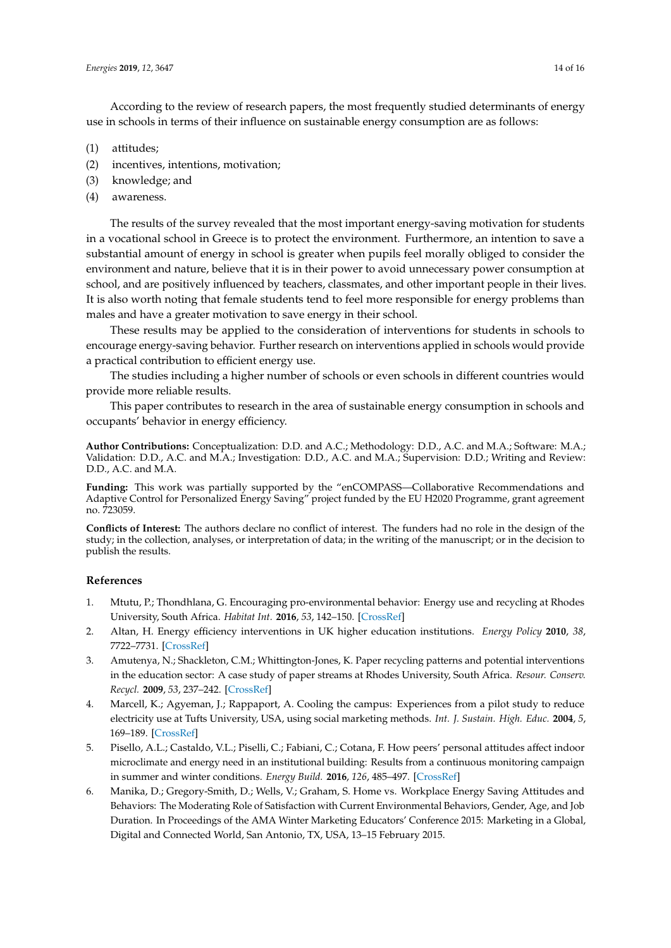According to the review of research papers, the most frequently studied determinants of energy use in schools in terms of their influence on sustainable energy consumption are as follows:

- (1) attitudes;
- (2) incentives, intentions, motivation;
- (3) knowledge; and
- (4) awareness.

The results of the survey revealed that the most important energy-saving motivation for students in a vocational school in Greece is to protect the environment. Furthermore, an intention to save a substantial amount of energy in school is greater when pupils feel morally obliged to consider the environment and nature, believe that it is in their power to avoid unnecessary power consumption at school, and are positively influenced by teachers, classmates, and other important people in their lives. It is also worth noting that female students tend to feel more responsible for energy problems than males and have a greater motivation to save energy in their school.

These results may be applied to the consideration of interventions for students in schools to encourage energy-saving behavior. Further research on interventions applied in schools would provide a practical contribution to efficient energy use.

The studies including a higher number of schools or even schools in different countries would provide more reliable results.

This paper contributes to research in the area of sustainable energy consumption in schools and occupants' behavior in energy efficiency.

**Author Contributions:** Conceptualization: D.D. and A.C.; Methodology: D.D., A.C. and M.A.; Software: M.A.; Validation: D.D., A.C. and M.A.; Investigation: D.D., A.C. and M.A.; Supervision: D.D.; Writing and Review: D.D., A.C. and M.A.

**Funding:** This work was partially supported by the "enCOMPASS—Collaborative Recommendations and Adaptive Control for Personalized Energy Saving" project funded by the EU H2020 Programme, grant agreement no. 723059.

**Conflicts of Interest:** The authors declare no conflict of interest. The funders had no role in the design of the study; in the collection, analyses, or interpretation of data; in the writing of the manuscript; or in the decision to publish the results.

## **References**

- <span id="page-13-0"></span>1. Mtutu, P.; Thondhlana, G. Encouraging pro-environmental behavior: Energy use and recycling at Rhodes University, South Africa. *Habitat Int.* **2016**, *53*, 142–150. [\[CrossRef\]](http://dx.doi.org/10.1016/j.habitatint.2015.11.031)
- 2. Altan, H. Energy efficiency interventions in UK higher education institutions. *Energy Policy* **2010**, *38*, 7722–7731. [\[CrossRef\]](http://dx.doi.org/10.1016/j.enpol.2010.08.024)
- 3. Amutenya, N.; Shackleton, C.M.; Whittington-Jones, K. Paper recycling patterns and potential interventions in the education sector: A case study of paper streams at Rhodes University, South Africa. *Resour. Conserv. Recycl.* **2009**, *53*, 237–242. [\[CrossRef\]](http://dx.doi.org/10.1016/j.resconrec.2008.12.001)
- <span id="page-13-1"></span>4. Marcell, K.; Agyeman, J.; Rappaport, A. Cooling the campus: Experiences from a pilot study to reduce electricity use at Tufts University, USA, using social marketing methods. *Int. J. Sustain. High. Educ.* **2004**, *5*, 169–189. [\[CrossRef\]](http://dx.doi.org/10.1108/14676370410526251)
- <span id="page-13-2"></span>5. Pisello, A.L.; Castaldo, V.L.; Piselli, C.; Fabiani, C.; Cotana, F. How peers' personal attitudes affect indoor microclimate and energy need in an institutional building: Results from a continuous monitoring campaign in summer and winter conditions. *Energy Build.* **2016**, *126*, 485–497. [\[CrossRef\]](http://dx.doi.org/10.1016/j.enbuild.2016.05.053)
- <span id="page-13-3"></span>6. Manika, D.; Gregory-Smith, D.; Wells, V.; Graham, S. Home vs. Workplace Energy Saving Attitudes and Behaviors: The Moderating Role of Satisfaction with Current Environmental Behaviors, Gender, Age, and Job Duration. In Proceedings of the AMA Winter Marketing Educators' Conference 2015: Marketing in a Global, Digital and Connected World, San Antonio, TX, USA, 13–15 February 2015.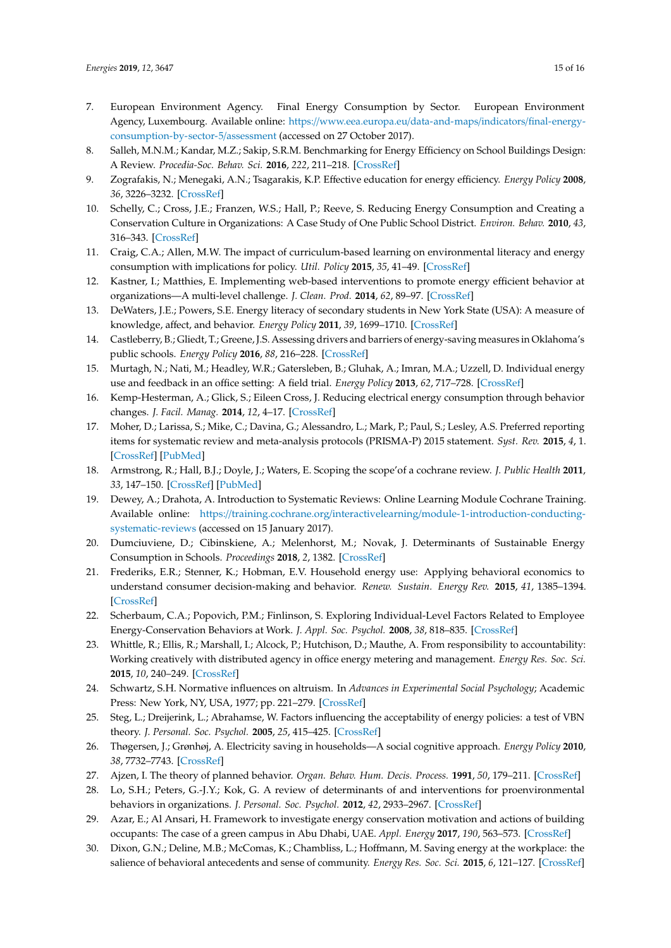- <span id="page-14-0"></span>7. European Environment Agency. Final Energy Consumption by Sector. European Environment Agency, Luxembourg. Available online: https://[www.eea.europa.eu](https://www.eea.europa.eu/data-and-maps/indicators/final-energy-consumption-by-sector-5/assessment)/data-and-maps/indicators/final-energy[consumption-by-sector-5](https://www.eea.europa.eu/data-and-maps/indicators/final-energy-consumption-by-sector-5/assessment)/assessment (accessed on 27 October 2017).
- <span id="page-14-1"></span>8. Salleh, M.N.M.; Kandar, M.Z.; Sakip, S.R.M. Benchmarking for Energy Efficiency on School Buildings Design: A Review. *Procedia-Soc. Behav. Sci.* **2016**, *222*, 211–218. [\[CrossRef\]](http://dx.doi.org/10.1016/j.sbspro.2016.05.149)
- <span id="page-14-2"></span>9. Zografakis, N.; Menegaki, A.N.; Tsagarakis, K.P. Effective education for energy efficiency. *Energy Policy* **2008**, *36*, 3226–3232. [\[CrossRef\]](http://dx.doi.org/10.1016/j.enpol.2008.04.021)
- <span id="page-14-3"></span>10. Schelly, C.; Cross, J.E.; Franzen, W.S.; Hall, P.; Reeve, S. Reducing Energy Consumption and Creating a Conservation Culture in Organizations: A Case Study of One Public School District. *Environ. Behav.* **2010**, *43*, 316–343. [\[CrossRef\]](http://dx.doi.org/10.1177/0013916510371754)
- <span id="page-14-4"></span>11. Craig, C.A.; Allen, M.W. The impact of curriculum-based learning on environmental literacy and energy consumption with implications for policy. *Util. Policy* **2015**, *35*, 41–49. [\[CrossRef\]](http://dx.doi.org/10.1016/j.jup.2015.06.011)
- <span id="page-14-5"></span>12. Kastner, I.; Matthies, E. Implementing web-based interventions to promote energy efficient behavior at organizations—A multi-level challenge. *J. Clean. Prod.* **2014**, *62*, 89–97. [\[CrossRef\]](http://dx.doi.org/10.1016/j.jclepro.2013.05.030)
- <span id="page-14-6"></span>13. DeWaters, J.E.; Powers, S.E. Energy literacy of secondary students in New York State (USA): A measure of knowledge, affect, and behavior. *Energy Policy* **2011**, *39*, 1699–1710. [\[CrossRef\]](http://dx.doi.org/10.1016/j.enpol.2010.12.049)
- <span id="page-14-7"></span>14. Castleberry, B.; Gliedt, T.; Greene, J.S. Assessing drivers and barriers of energy-saving measures in Oklahoma's public schools. *Energy Policy* **2016**, *88*, 216–228. [\[CrossRef\]](http://dx.doi.org/10.1016/j.enpol.2015.10.010)
- <span id="page-14-8"></span>15. Murtagh, N.; Nati, M.; Headley, W.R.; Gatersleben, B.; Gluhak, A.; Imran, M.A.; Uzzell, D. Individual energy use and feedback in an office setting: A field trial. *Energy Policy* **2013**, *62*, 717–728. [\[CrossRef\]](http://dx.doi.org/10.1016/j.enpol.2013.07.090)
- <span id="page-14-9"></span>16. Kemp-Hesterman, A.; Glick, S.; Eileen Cross, J. Reducing electrical energy consumption through behavior changes. *J. Facil. Manag.* **2014**, *12*, 4–17. [\[CrossRef\]](http://dx.doi.org/10.1108/JFM-02-2013-0006)
- <span id="page-14-10"></span>17. Moher, D.; Larissa, S.; Mike, C.; Davina, G.; Alessandro, L.; Mark, P.; Paul, S.; Lesley, A.S. Preferred reporting items for systematic review and meta-analysis protocols (PRISMA-P) 2015 statement. *Syst. Rev.* **2015**, *4*, 1. [\[CrossRef\]](http://dx.doi.org/10.1186/2046-4053-4-1) [\[PubMed\]](http://www.ncbi.nlm.nih.gov/pubmed/25554246)
- <span id="page-14-11"></span>18. Armstrong, R.; Hall, B.J.; Doyle, J.; Waters, E. Scoping the scope'of a cochrane review. *J. Public Health* **2011**, *33*, 147–150. [\[CrossRef\]](http://dx.doi.org/10.1093/pubmed/fdr015) [\[PubMed\]](http://www.ncbi.nlm.nih.gov/pubmed/21345890)
- <span id="page-14-12"></span>19. Dewey, A.; Drahota, A. Introduction to Systematic Reviews: Online Learning Module Cochrane Training. Available online: https://training.cochrane.org/interactivelearning/[module-1-introduction-conducting](https://training.cochrane.org/interactivelearning/module-1-introduction-conducting-systematic-reviews)[systematic-reviews](https://training.cochrane.org/interactivelearning/module-1-introduction-conducting-systematic-reviews) (accessed on 15 January 2017).
- <span id="page-14-13"></span>20. Dumciuviene, D.; Cibinskiene, A.; Melenhorst, M.; Novak, J. Determinants of Sustainable Energy Consumption in Schools. *Proceedings* **2018**, *2*, 1382. [\[CrossRef\]](http://dx.doi.org/10.3390/proceedings2221382)
- <span id="page-14-14"></span>21. Frederiks, E.R.; Stenner, K.; Hobman, E.V. Household energy use: Applying behavioral economics to understand consumer decision-making and behavior. *Renew. Sustain. Energy Rev.* **2015**, *41*, 1385–1394. [\[CrossRef\]](http://dx.doi.org/10.1016/j.rser.2014.09.026)
- <span id="page-14-15"></span>22. Scherbaum, C.A.; Popovich, P.M.; Finlinson, S. Exploring Individual-Level Factors Related to Employee Energy-Conservation Behaviors at Work. *J. Appl. Soc. Psychol.* **2008**, *38*, 818–835. [\[CrossRef\]](http://dx.doi.org/10.1111/j.1559-1816.2007.00328.x)
- <span id="page-14-16"></span>23. Whittle, R.; Ellis, R.; Marshall, I.; Alcock, P.; Hutchison, D.; Mauthe, A. From responsibility to accountability: Working creatively with distributed agency in office energy metering and management. *Energy Res. Soc. Sci.* **2015**, *10*, 240–249. [\[CrossRef\]](http://dx.doi.org/10.1016/j.erss.2015.08.002)
- <span id="page-14-17"></span>24. Schwartz, S.H. Normative influences on altruism. In *Advances in Experimental Social Psychology*; Academic Press: New York, NY, USA, 1977; pp. 221–279. [\[CrossRef\]](http://dx.doi.org/10.1016/S0065-2601(08)60358-5)
- <span id="page-14-18"></span>25. Steg, L.; Dreijerink, L.; Abrahamse, W. Factors influencing the acceptability of energy policies: a test of VBN theory. *J. Personal. Soc. Psychol.* **2005**, *25*, 415–425. [\[CrossRef\]](http://dx.doi.org/10.1016/j.jenvp.2005.08.003)
- <span id="page-14-19"></span>26. Thøgersen, J.; Grønhøj, A. Electricity saving in households—A social cognitive approach. *Energy Policy* **2010**, *38*, 7732–7743. [\[CrossRef\]](http://dx.doi.org/10.1016/j.enpol.2010.08.025)
- <span id="page-14-20"></span>27. Ajzen, I. The theory of planned behavior. *Organ. Behav. Hum. Decis. Process.* **1991**, *50*, 179–211. [\[CrossRef\]](http://dx.doi.org/10.1016/0749-5978(91)90020-T)
- <span id="page-14-21"></span>28. Lo, S.H.; Peters, G.-J.Y.; Kok, G. A review of determinants of and interventions for proenvironmental behaviors in organizations. *J. Personal. Soc. Psychol.* **2012**, *42*, 2933–2967. [\[CrossRef\]](http://dx.doi.org/10.1111/j.1559-1816.2012.00969.x)
- <span id="page-14-22"></span>29. Azar, E.; Al Ansari, H. Framework to investigate energy conservation motivation and actions of building occupants: The case of a green campus in Abu Dhabi, UAE. *Appl. Energy* **2017**, *190*, 563–573. [\[CrossRef\]](http://dx.doi.org/10.1016/j.apenergy.2016.12.128)
- <span id="page-14-23"></span>30. Dixon, G.N.; Deline, M.B.; McComas, K.; Chambliss, L.; Hoffmann, M. Saving energy at the workplace: the salience of behavioral antecedents and sense of community. *Energy Res. Soc. Sci.* **2015**, *6*, 121–127. [\[CrossRef\]](http://dx.doi.org/10.1016/j.erss.2015.01.004)